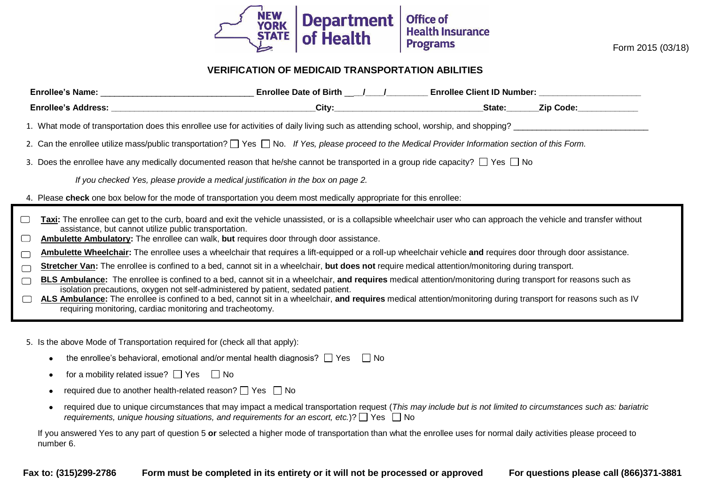

Form 2015 (03/18)

## **VERIFICATION OF MEDICAID TRANSPORTATION ABILITIES**

|        |                                                                                                                                                                                                                                                                                                                          | Enrollee Date of Birth ___/___/___________Enrollee Client ID Number: __________________ |                  |
|--------|--------------------------------------------------------------------------------------------------------------------------------------------------------------------------------------------------------------------------------------------------------------------------------------------------------------------------|-----------------------------------------------------------------------------------------|------------------|
|        |                                                                                                                                                                                                                                                                                                                          |                                                                                         | State: Zip Code: |
|        |                                                                                                                                                                                                                                                                                                                          |                                                                                         |                  |
|        | 2. Can the enrollee utilize mass/public transportation? I Yes I No. If Yes, please proceed to the Medical Provider Information section of this Form.                                                                                                                                                                     |                                                                                         |                  |
|        | 3. Does the enrollee have any medically documented reason that he/she cannot be transported in a group ride capacity? $\Box$ Yes $\Box$ No                                                                                                                                                                               |                                                                                         |                  |
|        | If you checked Yes, please provide a medical justification in the box on page 2.                                                                                                                                                                                                                                         |                                                                                         |                  |
|        | 4. Please check one box below for the mode of transportation you deem most medically appropriate for this enrollee:                                                                                                                                                                                                      |                                                                                         |                  |
| $\Box$ | Taxi: The enrollee can get to the curb, board and exit the vehicle unassisted, or is a collapsible wheelchair user who can approach the vehicle and transfer without<br>assistance, but cannot utilize public transportation.<br>Ambulette Ambulatory: The enrollee can walk, but requires door through door assistance. |                                                                                         |                  |
| $\Box$ | Ambulette Wheelchair: The enrollee uses a wheelchair that requires a lift-equipped or a roll-up wheelchair vehicle and requires door through door assistance.                                                                                                                                                            |                                                                                         |                  |
| $\Box$ | Stretcher Van: The enrollee is confined to a bed, cannot sit in a wheelchair, but does not require medical attention/monitoring during transport.                                                                                                                                                                        |                                                                                         |                  |
| $\Box$ | <b>BLS Ambulance:</b> The enrollee is confined to a bed, cannot sit in a wheelchair, and requires medical attention/monitoring during transport for reasons such as<br>isolation precautions, oxygen not self-administered by patient, sedated patient.                                                                  |                                                                                         |                  |
| $\Box$ | ALS Ambulance: The enrollee is confined to a bed, cannot sit in a wheelchair, and requires medical attention/monitoring during transport for reasons such as IV<br>requiring monitoring, cardiac monitoring and tracheotomy.                                                                                             |                                                                                         |                  |

5. Is the above Mode of Transportation required for (check all that apply):

- the enrollee's behavioral, emotional and/or mental health diagnosis?  $\Box$  Yes  $\Box$  No
- for a mobility related issue?  $\Box$  Yes  $\Box$  No
- required due to another health-related reason?  $\Box$  Yes  $\Box$  No
- required due to unique circumstances that may impact a medical transportation request (*This may include but is not limited to circumstances such as: bariatric requirements, unique housing situations, and requirements for an escort, etc.*)?  $\Box$  Yes  $\Box$  No

If you answered Yes to any part of question 5 **or** selected a higher mode of transportation than what the enrollee uses for normal daily activities please proceed to number 6.